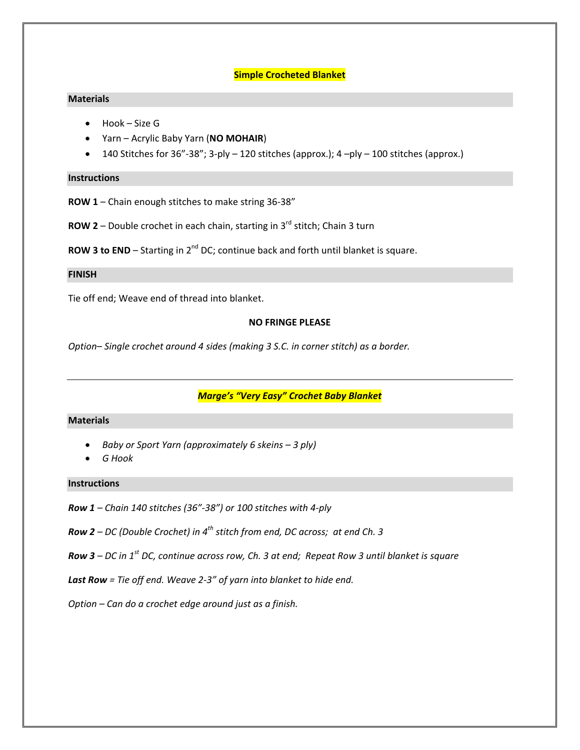## **Simple Crocheted Blanket**

## **Materials**

- Hook Size G
- Yarn Acrylic Baby Yarn (**NO MOHAIR**)
- 140 Stitches for  $36"$ - $38"$ ; 3-ply 120 stitches (approx.);  $4$  –ply 100 stitches (approx.)

#### **Instructions**

- **ROW 1** Chain enough stitches to make string 36‐38"
- **ROW 2** Double crochet in each chain, starting in 3<sup>rd</sup> stitch; Chain 3 turn

**ROW 3 to END** – Starting in 2<sup>nd</sup> DC; continue back and forth until blanket is square.

### **FINISH**

Tie off end; Weave end of thread into blanket.

### **NO FRINGE PLEASE**

*Option– Single crochet around 4 sides (making 3 S.C. in corner stitch) as a border.*

## *Marge's "Very Easy" Crochet Baby Blanket*

#### **Materials**

- *Baby or Sport Yarn (approximately 6 skeins – 3 ply)*
- *G Hook*

### **Instructions**

- *Row 1 – Chain 140 stitches (36"‐38") or 100 stitches with 4‐ply*
- *Row 2 – DC (Double Crochet) in 4th stitch from end, DC across; at end Ch. 3*
- **Row 3** DC in  $1^{st}$  DC, continue across row, Ch. 3 at end; Repeat Row 3 until blanket is square
- *Last Row = Tie off end. Weave 2‐3" of yarn into blanket to hide end.*
- *Option – Can do a crochet edge around just as a finish.*